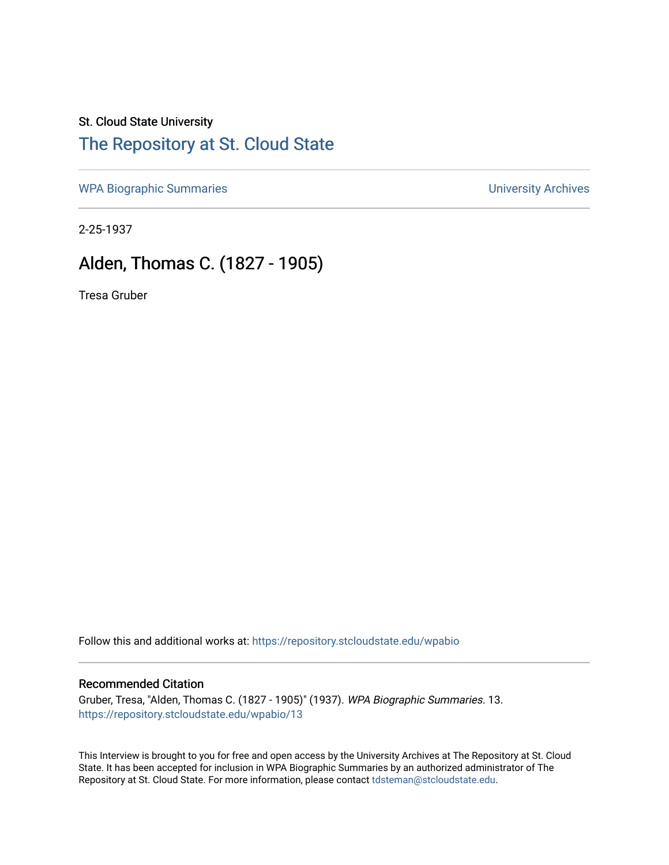## St. Cloud State University [The Repository at St. Cloud State](https://repository.stcloudstate.edu/)

[WPA Biographic Summaries](https://repository.stcloudstate.edu/wpabio) **WPA Biographic Summaries University Archives** 

2-25-1937

## Alden, Thomas C. (1827 - 1905)

Tresa Gruber

Follow this and additional works at: [https://repository.stcloudstate.edu/wpabio](https://repository.stcloudstate.edu/wpabio?utm_source=repository.stcloudstate.edu%2Fwpabio%2F13&utm_medium=PDF&utm_campaign=PDFCoverPages) 

## Recommended Citation

Gruber, Tresa, "Alden, Thomas C. (1827 - 1905)" (1937). WPA Biographic Summaries. 13. [https://repository.stcloudstate.edu/wpabio/13](https://repository.stcloudstate.edu/wpabio/13?utm_source=repository.stcloudstate.edu%2Fwpabio%2F13&utm_medium=PDF&utm_campaign=PDFCoverPages)

This Interview is brought to you for free and open access by the University Archives at The Repository at St. Cloud State. It has been accepted for inclusion in WPA Biographic Summaries by an authorized administrator of The Repository at St. Cloud State. For more information, please contact [tdsteman@stcloudstate.edu.](mailto:tdsteman@stcloudstate.edu)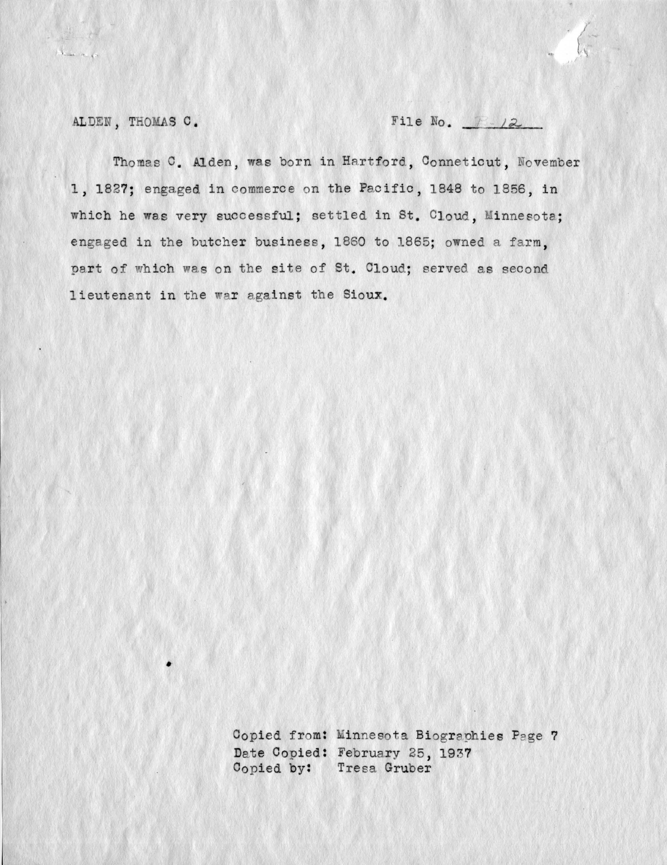$\begin{array}{l} \left\langle \cdot \right\rangle_{\text{max}} & \left\langle \cdot \right\rangle_{\text{max}} \end{array}$ 

ALDEN, THOMAS C. File No. 7 12

Thomas C. Alden, was born in Hartford, Conneticut, November 1, 1827; engaged in commerce on the Pacific, 1848 to 1856, in which he was very successful; settled in St. Cloud, Minnesota; engaged in the butcher business, 1860 to 1865; owned a farm, part of which was on the site of St. Cloud; served as second lieutenant in the war against the Sioux.

> Copied from: Minnesota Biographies Page 7 Date Copied: February 25, 1937 Copied by: Tresa Gruber